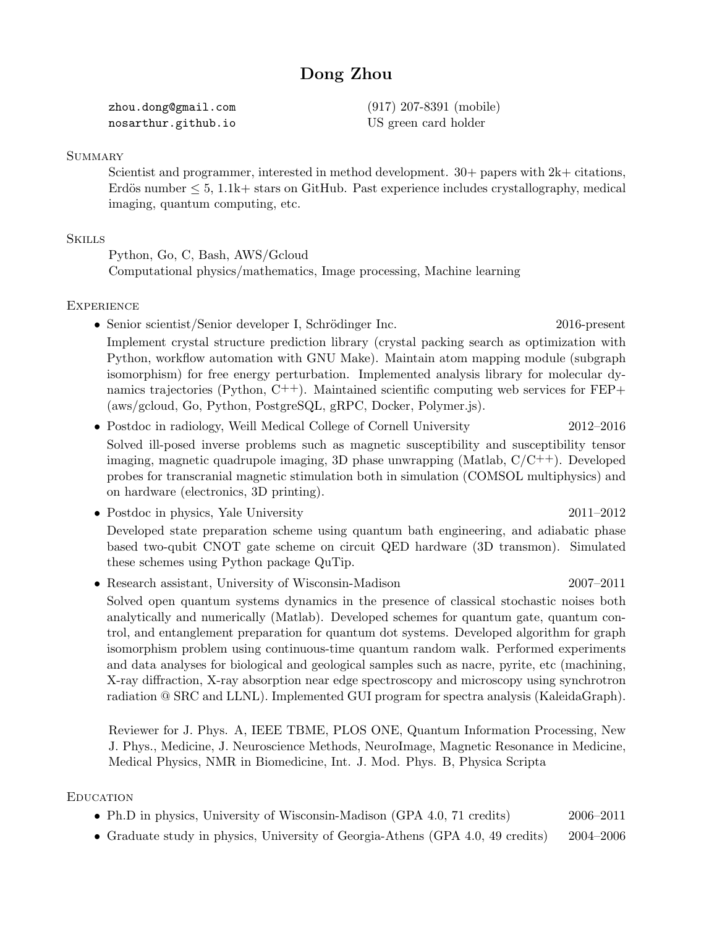# Dong Zhou

| zhou.dong@gmail.com | $(917)$ 207-8391 (mobile) |
|---------------------|---------------------------|
| nosarthur.github.io | US green card holder      |

### **SUMMARY**

Scientist and programmer, interested in method development.  $30+$  papers with  $2k+$  citations, Erdös number  $\leq 5$ , 1.1k+ stars on GitHub. Past experience includes crystallography, medical imaging, quantum computing, etc.

#### **SKILLS**

Python, Go, C, Bash, AWS/Gcloud Computational physics/mathematics, Image processing, Machine learning

## **EXPERIENCE**

- Senior scientist/Senior developer I, Schrödinger Inc. 2016-present Implement crystal structure prediction library (crystal packing search as optimization with Python, workflow automation with GNU Make). Maintain atom mapping module (subgraph isomorphism) for free energy perturbation. Implemented analysis library for molecular dynamics trajectories (Python,  $C^{++}$ ). Maintained scientific computing web services for  $FEP+$ (aws/gcloud, Go, Python, PostgreSQL, gRPC, Docker, Polymer.js).
- Postdoc in radiology, Weill Medical College of Cornell University 2012–2016 Solved ill-posed inverse problems such as magnetic susceptibility and susceptibility tensor imaging, magnetic quadrupole imaging, 3D phase unwrapping (Matlab,  $C/C^{++}$ ). Developed probes for transcranial magnetic stimulation both in simulation (COMSOL multiphysics) and on hardware (electronics, 3D printing).
- Postdoc in physics, Yale University 2011–2012 Developed state preparation scheme using quantum bath engineering, and adiabatic phase based two-qubit CNOT gate scheme on circuit QED hardware (3D transmon). Simulated these schemes using Python package QuTip.
- Research assistant, University of Wisconsin-Madison 2007–2011 Solved open quantum systems dynamics in the presence of classical stochastic noises both analytically and numerically (Matlab). Developed schemes for quantum gate, quantum control, and entanglement preparation for quantum dot systems. Developed algorithm for graph isomorphism problem using continuous-time quantum random walk. Performed experiments and data analyses for biological and geological samples such as nacre, pyrite, etc (machining,

radiation @ SRC and LLNL). Implemented GUI program for spectra analysis (KaleidaGraph). Reviewer for J. Phys. A, IEEE TBME, PLOS ONE, Quantum Information Processing, New J. Phys., Medicine, J. Neuroscience Methods, NeuroImage, Magnetic Resonance in Medicine, Medical Physics, NMR in Biomedicine, Int. J. Mod. Phys. B, Physica Scripta

X-ray diffraction, X-ray absorption near edge spectroscopy and microscopy using synchrotron

#### **EDUCATION**

- Ph.D in physics, University of Wisconsin-Madison (GPA 4.0, 71 credits) 2006–2011
- Graduate study in physics, University of Georgia-Athens (GPA 4.0, 49 credits) 2004–2006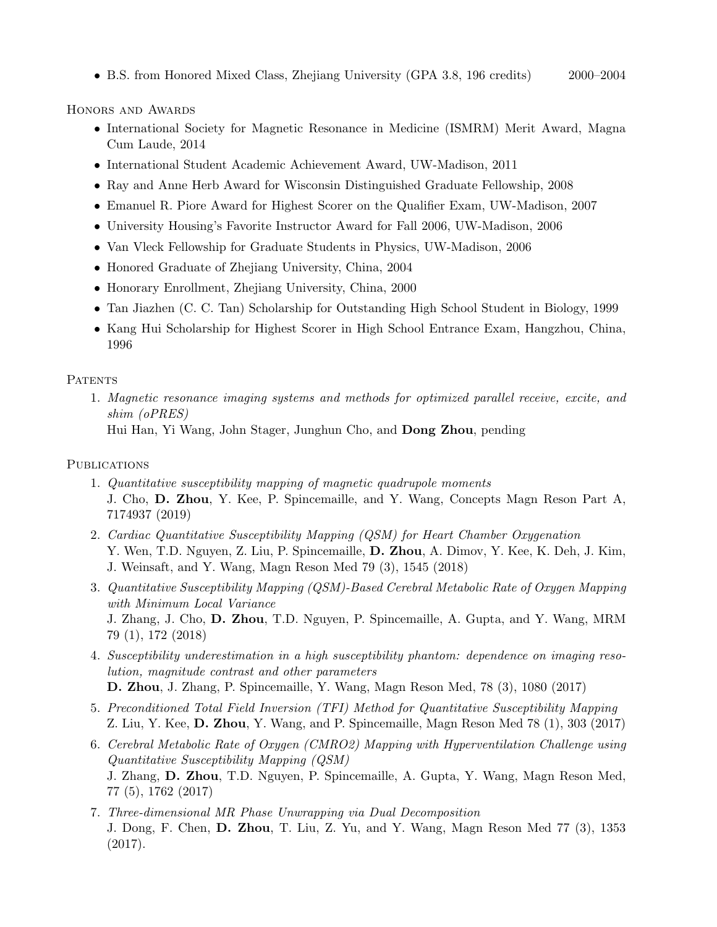• B.S. from Honored Mixed Class, Zhejiang University (GPA 3.8, 196 credits) 2000–2004

Honors and Awards

- International Society for Magnetic Resonance in Medicine (ISMRM) Merit Award, Magna Cum Laude, 2014
- International Student Academic Achievement Award, UW-Madison, 2011
- Ray and Anne Herb Award for Wisconsin Distinguished Graduate Fellowship, 2008
- Emanuel R. Piore Award for Highest Scorer on the Qualifier Exam, UW-Madison, 2007
- University Housing's Favorite Instructor Award for Fall 2006, UW-Madison, 2006
- Van Vleck Fellowship for Graduate Students in Physics, UW-Madison, 2006
- Honored Graduate of Zhejiang University, China, 2004
- Honorary Enrollment, Zhejiang University, China, 2000
- Tan Jiazhen (C. C. Tan) Scholarship for Outstanding High School Student in Biology, 1999
- Kang Hui Scholarship for Highest Scorer in High School Entrance Exam, Hangzhou, China, 1996

## **PATENTS**

1. Magnetic resonance imaging systems and methods for optimized parallel receive, excite, and shim (oPRES) Hui Han, Yi Wang, John Stager, Junghun Cho, and Dong Zhou, pending

# **PUBLICATIONS**

- 1. Quantitative susceptibility mapping of magnetic quadrupole moments J. Cho, D. Zhou, Y. Kee, P. Spincemaille, and Y. Wang, Concepts Magn Reson Part A, 7174937 (2019)
- 2. Cardiac Quantitative Susceptibility Mapping (QSM) for Heart Chamber Oxygenation Y. Wen, T.D. Nguyen, Z. Liu, P. Spincemaille, D. Zhou, A. Dimov, Y. Kee, K. Deh, J. Kim, J. Weinsaft, and Y. Wang, Magn Reson Med 79 (3), 1545 (2018)
- 3. Quantitative Susceptibility Mapping (QSM)-Based Cerebral Metabolic Rate of Oxygen Mapping with Minimum Local Variance J. Zhang, J. Cho, D. Zhou, T.D. Nguyen, P. Spincemaille, A. Gupta, and Y. Wang, MRM 79 (1), 172 (2018)
- 4. Susceptibility underestimation in a high susceptibility phantom: dependence on imaging resolution, magnitude contrast and other parameters
- D. Zhou, J. Zhang, P. Spincemaille, Y. Wang, Magn Reson Med, 78 (3), 1080 (2017)
- 5. Preconditioned Total Field Inversion (TFI) Method for Quantitative Susceptibility Mapping Z. Liu, Y. Kee, D. Zhou, Y. Wang, and P. Spincemaille, Magn Reson Med 78 (1), 303 (2017)
- 6. Cerebral Metabolic Rate of Oxygen (CMRO2) Mapping with Hyperventilation Challenge using Quantitative Susceptibility Mapping (QSM) J. Zhang, D. Zhou, T.D. Nguyen, P. Spincemaille, A. Gupta, Y. Wang, Magn Reson Med, 77 (5), 1762 (2017)
- 7. Three-dimensional MR Phase Unwrapping via Dual Decomposition J. Dong, F. Chen, D. Zhou, T. Liu, Z. Yu, and Y. Wang, Magn Reson Med 77 (3), 1353 (2017).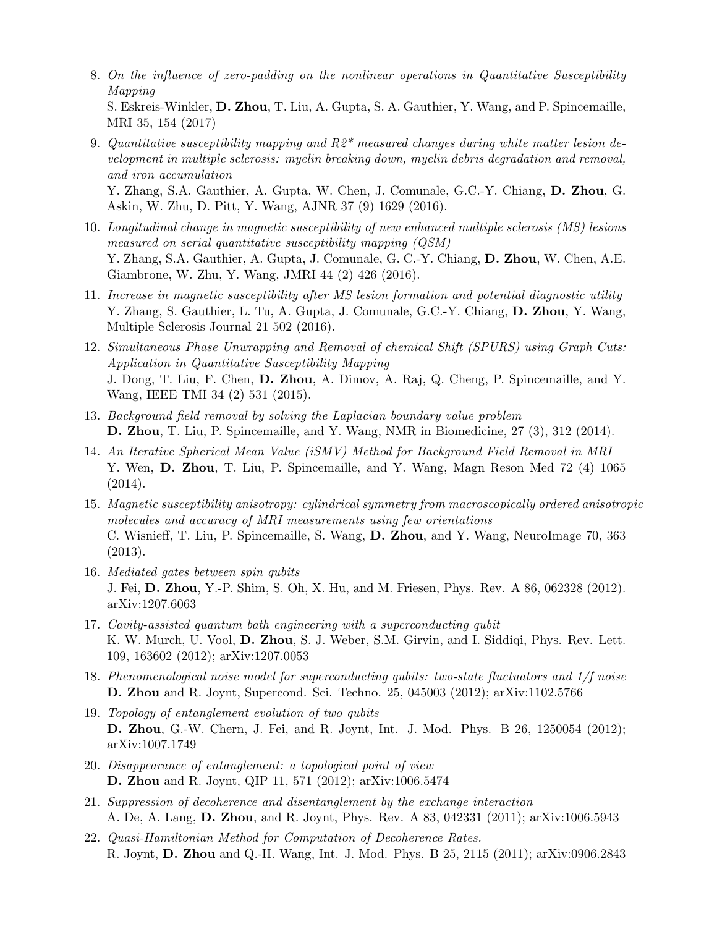- 8. On the influence of zero-padding on the nonlinear operations in Quantitative Susceptibility Mapping S. Eskreis-Winkler, D. Zhou, T. Liu, A. Gupta, S. A. Gauthier, Y. Wang, and P. Spincemaille, MRI 35, 154 (2017)
- 9. Quantitative susceptibility mapping and  $R2^*$  measured changes during white matter lesion development in multiple sclerosis: myelin breaking down, myelin debris degradation and removal, and iron accumulation Y. Zhang, S.A. Gauthier, A. Gupta, W. Chen, J. Comunale, G.C.-Y. Chiang, D. Zhou, G. Askin, W. Zhu, D. Pitt, Y. Wang, AJNR 37 (9) 1629 (2016).
- 10. Longitudinal change in magnetic susceptibility of new enhanced multiple sclerosis (MS) lesions measured on serial quantitative susceptibility mapping (QSM) Y. Zhang, S.A. Gauthier, A. Gupta, J. Comunale, G. C.-Y. Chiang, D. Zhou, W. Chen, A.E. Giambrone, W. Zhu, Y. Wang, JMRI 44 (2) 426 (2016).
- 11. Increase in magnetic susceptibility after MS lesion formation and potential diagnostic utility Y. Zhang, S. Gauthier, L. Tu, A. Gupta, J. Comunale, G.C.-Y. Chiang, D. Zhou, Y. Wang, Multiple Sclerosis Journal 21 502 (2016).
- 12. Simultaneous Phase Unwrapping and Removal of chemical Shift (SPURS) using Graph Cuts: Application in Quantitative Susceptibility Mapping J. Dong, T. Liu, F. Chen, D. Zhou, A. Dimov, A. Raj, Q. Cheng, P. Spincemaille, and Y. Wang, IEEE TMI 34 (2) 531 (2015).
- 13. Background field removal by solving the Laplacian boundary value problem D. Zhou, T. Liu, P. Spincemaille, and Y. Wang, NMR in Biomedicine, 27 (3), 312 (2014).
- 14. An Iterative Spherical Mean Value (iSMV) Method for Background Field Removal in MRI Y. Wen, D. Zhou, T. Liu, P. Spincemaille, and Y. Wang, Magn Reson Med 72 (4) 1065 (2014).
- 15. Magnetic susceptibility anisotropy: cylindrical symmetry from macroscopically ordered anisotropic molecules and accuracy of MRI measurements using few orientations C. Wisnieff, T. Liu, P. Spincemaille, S. Wang, D. Zhou, and Y. Wang, NeuroImage 70, 363 (2013).
- 16. Mediated gates between spin qubits J. Fei, D. Zhou, Y.-P. Shim, S. Oh, X. Hu, and M. Friesen, Phys. Rev. A 86, 062328 (2012). arXiv:1207.6063
- 17. Cavity-assisted quantum bath engineering with a superconducting qubit K. W. Murch, U. Vool, D. Zhou, S. J. Weber, S.M. Girvin, and I. Siddiqi, Phys. Rev. Lett. 109, 163602 (2012); arXiv:1207.0053
- 18. Phenomenological noise model for superconducting qubits: two-state fluctuators and 1/f noise D. Zhou and R. Joynt, Supercond. Sci. Techno. 25, 045003 (2012); arXiv:1102.5766
- 19. Topology of entanglement evolution of two qubits D. Zhou, G.-W. Chern, J. Fei, and R. Joynt, Int. J. Mod. Phys. B 26, 1250054 (2012); arXiv:1007.1749
- 20. Disappearance of entanglement: a topological point of view D. Zhou and R. Joynt, QIP 11, 571 (2012); arXiv:1006.5474
- 21. Suppression of decoherence and disentanglement by the exchange interaction A. De, A. Lang, D. Zhou, and R. Joynt, Phys. Rev. A 83, 042331 (2011); arXiv:1006.5943
- 22. Quasi-Hamiltonian Method for Computation of Decoherence Rates. R. Joynt, D. Zhou and Q.-H. Wang, Int. J. Mod. Phys. B 25, 2115 (2011); arXiv:0906.2843